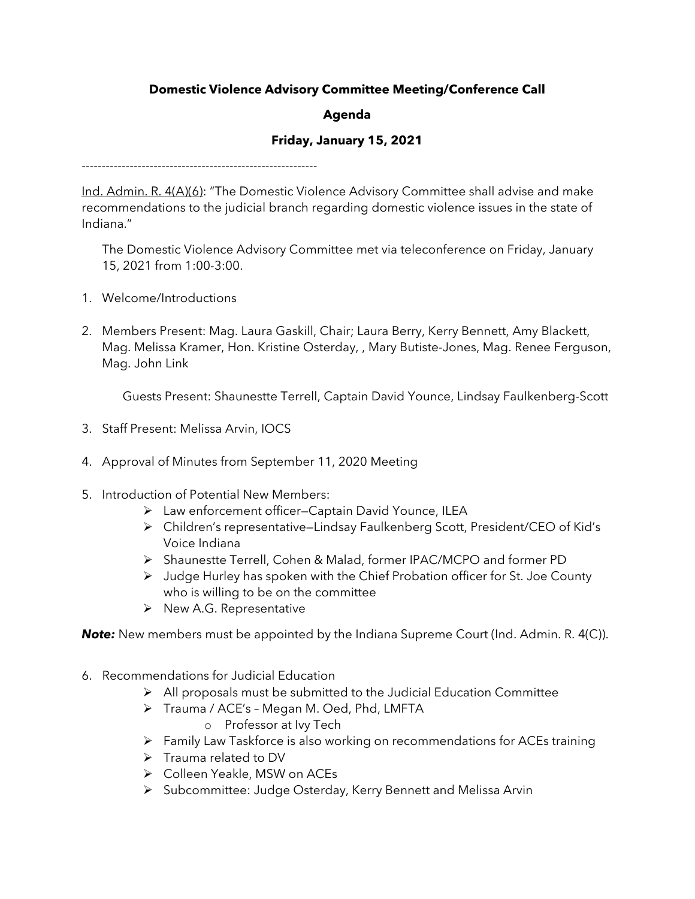## **Domestic Violence Advisory Committee Meeting/Conference Call**

## **Agenda**

## **Friday, January 15, 2021**

-----------------------------------------------------------

Ind. Admin. R. 4(A)(6): "The Domestic Violence Advisory Committee shall advise and make recommendations to the judicial branch regarding domestic violence issues in the state of Indiana."

The Domestic Violence Advisory Committee met via teleconference on Friday, January 15, 2021 from 1:00-3:00.

- 1. Welcome/Introductions
- 2. Members Present: Mag. Laura Gaskill, Chair; Laura Berry, Kerry Bennett, Amy Blackett, Mag. Melissa Kramer, Hon. Kristine Osterday, , Mary Butiste-Jones, Mag. Renee Ferguson, Mag. John Link

Guests Present: Shaunestte Terrell, Captain David Younce, Lindsay Faulkenberg-Scott

- 3. Staff Present: Melissa Arvin, IOCS
- 4. Approval of Minutes from September 11, 2020 Meeting
- 5. Introduction of Potential New Members:
	- Law enforcement officer—Captain David Younce, ILEA
	- Children's representative—Lindsay Faulkenberg Scott, President/CEO of Kid's Voice Indiana
	- Shaunestte Terrell, Cohen & Malad, former IPAC/MCPO and former PD
	- Judge Hurley has spoken with the Chief Probation officer for St. Joe County who is willing to be on the committee
	- $\triangleright$  New A.G. Representative

**Note:** New members must be appointed by the Indiana Supreme Court (Ind. Admin. R. 4(C)).

- 6. Recommendations for Judicial Education
	- $\triangleright$  All proposals must be submitted to the Judicial Education Committee
	- > Trauma / ACE's Megan M. Oed, Phd, LMFTA
		- o Professor at Ivy Tech
	- Family Law Taskforce is also working on recommendations for ACEs training
	- $\triangleright$  Trauma related to DV
	- Colleen Yeakle, MSW on ACEs
	- > Subcommittee: Judge Osterday, Kerry Bennett and Melissa Arvin